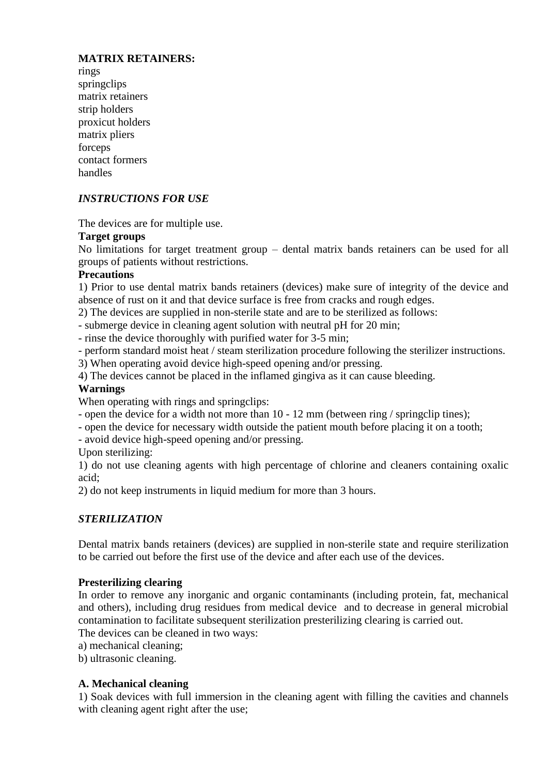# **MATRIX RETAINERS:**

rings springclips matrix retainers strip holders proxicut holders matrix pliers forceps contact formers handles

# *INSTRUCTIONS FOR USE*

The devices are for multiple use.

#### **Target groups**

No limitations for target treatment group – dental matrix bands retainers can be used for all groups of patients without restrictions.

#### **Precautions**

1) Prior to use dental matrix bands retainers (devices) make sure of integrity of the device and absence of rust on it and that device surface is free from cracks and rough edges.

2) The devices are supplied in non-sterile state and are to be sterilized as follows:

- submerge device in cleaning agent solution with neutral pH for 20 min;

- rinse the device thoroughly with purified water for 3-5 min;

- perform standard moist heat / steam sterilization procedure following the sterilizer instructions.

3) When operating avoid device high-speed opening and/or pressing.

4) The devices cannot be placed in the inflamed gingiva as it can cause bleeding.

#### **Warnings**

When operating with rings and springclips:

- open the device for a width not more than 10 - 12 mm (between ring / springclip tines);

- open the device for necessary width outside the patient mouth before placing it on a tooth;

- avoid device high-speed opening and/or pressing.

Upon sterilizing:

1) do not use cleaning agents with high percentage of chlorine and cleaners containing oxalic acid;

2) do not keep instruments in liquid medium for more than 3 hours.

# *STERILIZATION*

Dental matrix bands retainers (devices) are supplied in non-sterile state and require sterilization to be carried out before the first use of the device and after each use of the devices.

#### **Presterilizing clearing**

In order to remove any inorganic and organic contaminants (including protein, fat, mechanical and others), including drug residues from medical device and to decrease in general microbial contamination to facilitate subsequent sterilization presterilizing clearing is carried out.

The devices can be cleaned in two ways:

a) mechanical cleaning;

b) ultrasonic cleaning.

# **A. Mechanical cleaning**

1) Soak devices with full immersion in the cleaning agent with filling the cavities and channels with cleaning agent right after the use;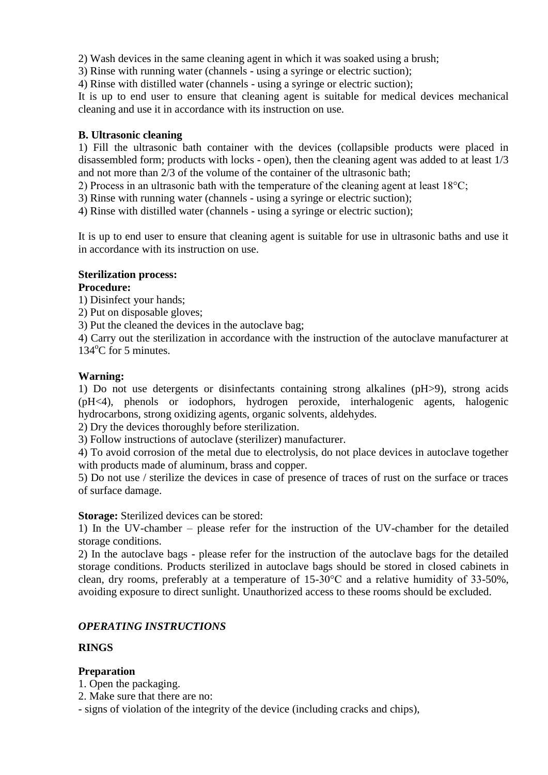2) Wash devices in the same cleaning agent in which it was soaked using a brush;

3) Rinse with running water (channels - using a syringe or electric suction);

4) Rinse with distilled water (channels - using a syringe or electric suction);

It is up to end user to ensure that cleaning agent is suitable for medical devices mechanical cleaning and use it in accordance with its instruction on use.

#### **B. Ultrasonic cleaning**

1) Fill the ultrasonic bath container with the devices (collapsible products were placed in disassembled form; products with locks - open), then the cleaning agent was added to at least 1/3 and not more than 2/3 of the volume of the container of the ultrasonic bath;

2) Process in an ultrasonic bath with the temperature of the cleaning agent at least  $18^{\circ}$ C;

3) Rinse with running water (channels - using a syringe or electric suction);

4) Rinse with distilled water (channels - using a syringe or electric suction);

It is up to end user to ensure that cleaning agent is suitable for use in ultrasonic baths and use it in accordance with its instruction on use.

#### **Sterilization process:**

# **Procedure:**

1) Disinfect your hands;

2) Put on disposable gloves;

3) Put the cleaned the devices in the autoclave bag;

4) Carry out the sterilization in accordance with the instruction of the autoclave manufacturer at  $134^{\circ}$ C for 5 minutes.

#### **Warning:**

1) Do not use detergents or disinfectants containing strong alkalines (pH>9), strong acids (pH<4), phenols or iodophors, hydrogen peroxide, interhalogenic agents, halogenic hydrocarbons, strong oxidizing agents, organic solvents, aldehydes.

2) Dry the devices thoroughly before sterilization.

3) Follow instructions of autoclave (sterilizer) manufacturer.

4) To avoid corrosion of the metal due to electrolysis, do not place devices in autoclave together with products made of aluminum, brass and copper.

5) Do not use / sterilize the devices in case of presence of traces of rust on the surface or traces of surface damage.

#### **Storage:** Sterilized devices can be stored:

1) In the UV-chamber – please refer for the instruction of the UV-chamber for the detailed storage conditions.

2) In the autoclave bags - please refer for the instruction of the autoclave bags for the detailed storage conditions. Products sterilized in autoclave bags should be stored in closed cabinets in clean, dry rooms, preferably at a temperature of 15-30°C and a relative humidity of 33-50%, avoiding exposure to direct sunlight. Unauthorized access to these rooms should be excluded.

# *OPERATING INSTRUCTIONS*

#### **RINGS**

# **Preparation**

- 1. Open the packaging.
- 2. Make sure that there are no:
- signs of violation of the integrity of the device (including cracks and chips),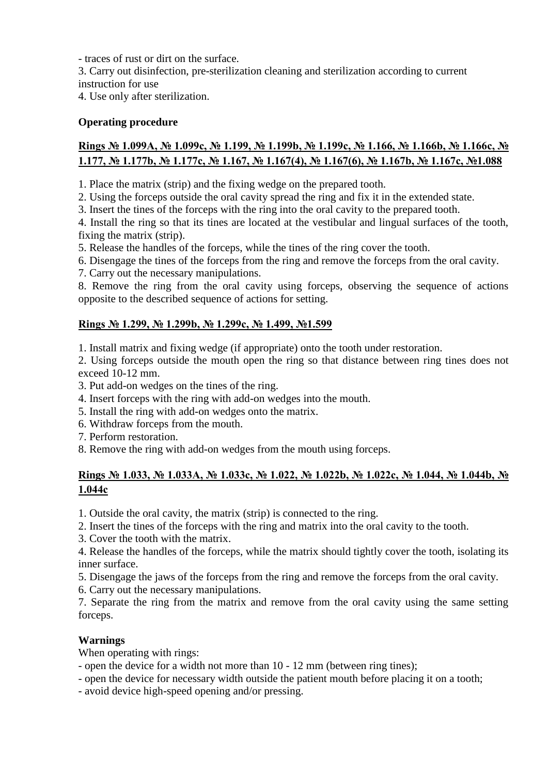- traces of rust or dirt on the surface.

3. Carry out disinfection, pre-sterilization cleaning and sterilization according to current instruction for use

4. Use only after sterilization.

# **Operating procedure**

# **Rings № 1.099А, № 1.099с, № 1.199, № 1.199b, № 1.199с, № 1.166, № 1.166b, № 1.166с, № 1.177, № 1.177b, № 1.177с, № 1.167, № 1.167(4), № 1.167(6), № 1.167b, № 1.167с, №1.088**

1. Place the matrix (strip) and the fixing wedge on the prepared tooth.

2. Using the forceps outside the oral cavity spread the ring and fix it in the extended state.

3. Insert the tines of the forceps with the ring into the oral cavity to the prepared tooth.

4. Install the ring so that its tines are located at the vestibular and lingual surfaces of the tooth, fixing the matrix (strip).

5. Release the handles of the forceps, while the tines of the ring cover the tooth.

6. Disengage the tines of the forceps from the ring and remove the forceps from the oral cavity.

7. Carry out the necessary manipulations.

8. Remove the ring from the oral cavity using forceps, observing the sequence of actions opposite to the described sequence of actions for setting.

# **Rings № 1.299, № 1.299b, № 1.299с, № 1.499, №1.599**

1. Install matrix and fixing wedge (if appropriate) onto the tooth under restoration.

2. Using forceps outside the mouth open the ring so that distance between ring tines does not exceed 10-12 mm.

3. Put add-on wedges on the tines of the ring.

- 4. Insert forceps with the ring with add-on wedges into the mouth.
- 5. Install the ring with add-on wedges onto the matrix.
- 6. Withdraw forceps from the mouth.
- 7. Perform restoration.
- 8. Remove the ring with add-on wedges from the mouth using forceps.

# **Rings № 1.033, № 1.033А, № 1.033с, № 1.022, № 1.022b, № 1.022с, № 1.044, № 1.044b, № 1.044с**

1. Outside the oral cavity, the matrix (strip) is connected to the ring.

2. Insert the tines of the forceps with the ring and matrix into the oral cavity to the tooth.

3. Cover the tooth with the matrix.

4. Release the handles of the forceps, while the matrix should tightly cover the tooth, isolating its inner surface.

5. Disengage the jaws of the forceps from the ring and remove the forceps from the oral cavity.

6. Carry out the necessary manipulations.

7. Separate the ring from the matrix and remove from the oral cavity using the same setting forceps.

# **Warnings**

When operating with rings:

- open the device for a width not more than 10 - 12 mm (between ring tines);

- open the device for necessary width outside the patient mouth before placing it on a tooth;

- avoid device high-speed opening and/or pressing.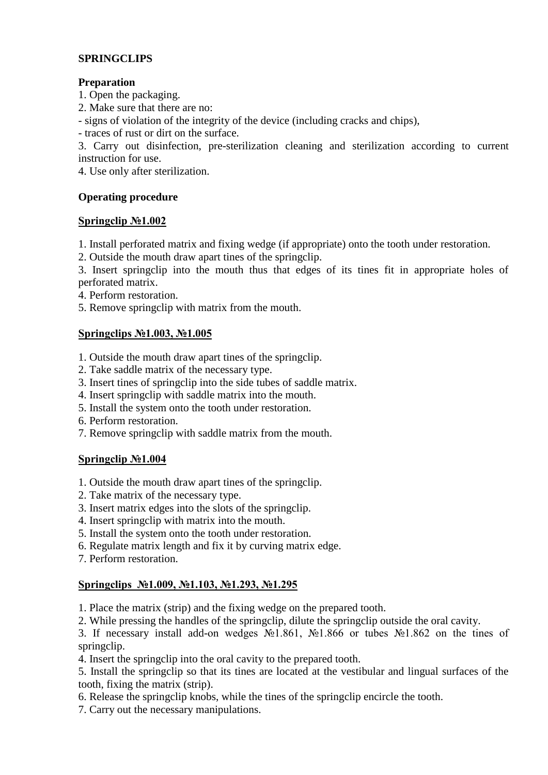# **SPRINGCLIPS**

# **Preparation**

1. Open the packaging.

2. Make sure that there are no:

- signs of violation of the integrity of the device (including cracks and chips),

- traces of rust or dirt on the surface.

3. Carry out disinfection, pre-sterilization cleaning and sterilization according to current instruction for use.

4. Use only after sterilization.

# **Operating procedure**

#### **Springclip №1.002**

1. Install perforated matrix and fixing wedge (if appropriate) onto the tooth under restoration.

2. Outside the mouth draw apart tines of the springclip.

3. Insert springclip into the mouth thus that edges of its tines fit in appropriate holes of perforated matrix.

4. Perform restoration.

5. Remove springclip with matrix from the mouth.

#### **Springclips №1.003, №1.005**

1. Outside the mouth draw apart tines of the springclip.

- 2. Take saddle matrix of the necessary type.
- 3. Insert tines of springclip into the side tubes of saddle matrix.
- 4. Insert springclip with saddle matrix into the mouth.
- 5. Install the system onto the tooth under restoration.
- 6. Perform restoration.
- 7. Remove springclip with saddle matrix from the mouth.

# **Springclip №1.004**

- 1. Outside the mouth draw apart tines of the springclip.
- 2. Take matrix of the necessary type.
- 3. Insert matrix edges into the slots of the springclip.
- 4. Insert springclip with matrix into the mouth.
- 5. Install the system onto the tooth under restoration.
- 6. Regulate matrix length and fix it by curving matrix edge.
- 7. Perform restoration.

# **Springclips №1.009, №1.103, №1.293, №1.295**

1. Place the matrix (strip) and the fixing wedge on the prepared tooth.

2. While pressing the handles of the springclip, dilute the springclip outside the oral cavity.

3. If necessary install add-on wedges №1.861, №1.866 or tubes №1.862 on the tines of springclip.

4. Insert the springclip into the oral cavity to the prepared tooth.

5. Install the springclip so that its tines are located at the vestibular and lingual surfaces of the tooth, fixing the matrix (strip).

- 6. Release the springclip knobs, while the tines of the springclip encircle the tooth.
- 7. Carry out the necessary manipulations.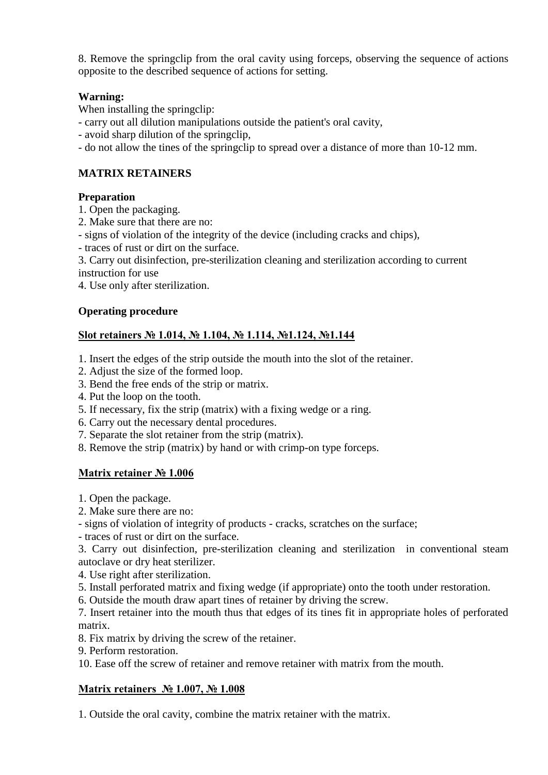8. Remove the springclip from the oral cavity using forceps, observing the sequence of actions opposite to the described sequence of actions for setting.

# **Warning:**

When installing the springclip:

- carry out all dilution manipulations outside the patient's oral cavity,

- avoid sharp dilution of the springclip,

- do not allow the tines of the springclip to spread over a distance of more than 10-12 mm.

# **MATRIX RETAINERS**

#### **Preparation**

1. Open the packaging.

2. Make sure that there are no:

- signs of violation of the integrity of the device (including cracks and chips),

- traces of rust or dirt on the surface.

3. Carry out disinfection, pre-sterilization cleaning and sterilization according to current instruction for use

4. Use only after sterilization.

# **Operating procedure**

# **Slot retainers № 1.014, № 1.104, № 1.114, №1.124, №1.144**

1. Insert the edges of the strip outside the mouth into the slot of the retainer.

- 2. Adjust the size of the formed loop.
- 3. Bend the free ends of the strip or matrix.
- 4. Put the loop on the tooth.
- 5. If necessary, fix the strip (matrix) with a fixing wedge or a ring.
- 6. Carry out the necessary dental procedures.
- 7. Separate the slot retainer from the strip (matrix).
- 8. Remove the strip (matrix) by hand or with crimp-on type forceps.

# **Matrix retainer № 1.006**

- 1. Open the package.
- 2. Make sure there are no:
- signs of violation of integrity of products cracks, scratches on the surface;
- traces of rust or dirt on the surface.

3. Carry out disinfection, pre-sterilization cleaning and sterilization in conventional steam autoclave or dry heat sterilizer.

- 4. Use right after sterilization.
- 5. Install perforated matrix and fixing wedge (if appropriate) onto the tooth under restoration.
- 6. Outside the mouth draw apart tines of retainer by driving the screw.

7. Insert retainer into the mouth thus that edges of its tines fit in appropriate holes of perforated matrix.

- 8. Fix matrix by driving the screw of the retainer.
- 9. Perform restoration.

10. Ease off the screw of retainer and remove retainer with matrix from the mouth.

# **Matrix retainers № 1.007, № 1.008**

1. Outside the oral cavity, combine the matrix retainer with the matrix.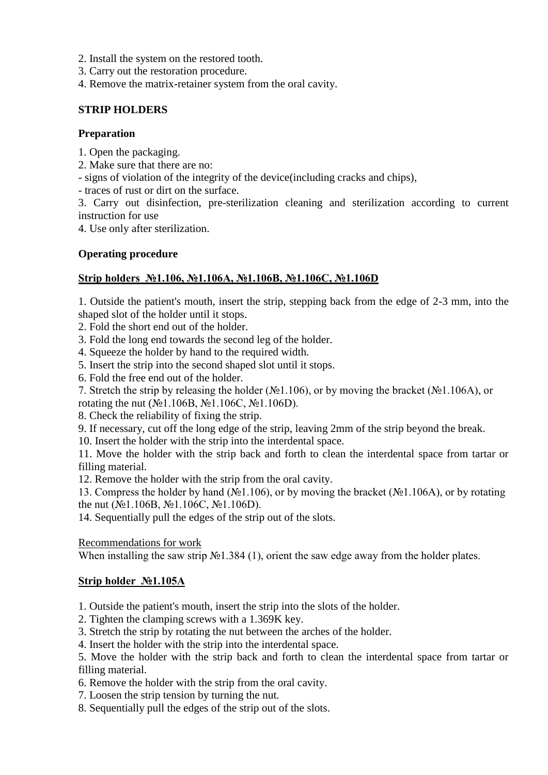- 2. Install the system on the restored tooth.
- 3. Carry out the restoration procedure.
- 4. Remove the matrix-retainer system from the oral cavity.

#### **STRIP HOLDERS**

#### **Preparation**

- 1. Open the packaging.
- 2. Make sure that there are no:
- signs of violation of the integrity of the device(including cracks and chips),
- traces of rust or dirt on the surface.
- 3. Carry out disinfection, pre-sterilization cleaning and sterilization according to current instruction for use

4. Use only after sterilization.

#### **Operating procedure**

# **Strip holders №1.106, №1.106А, №1.106В, №1.106C, №1.106D**

1. Outside the patient's mouth, insert the strip, stepping back from the edge of 2-3 mm, into the shaped slot of the holder until it stops.

- 2. Fold the short end out of the holder.
- 3. Fold the long end towards the second leg of the holder.
- 4. Squeeze the holder by hand to the required width.
- 5. Insert the strip into the second shaped slot until it stops.
- 6. Fold the free end out of the holder.
- 7. Stretch the strip by releasing the holder (№1.106), or by moving the bracket (№1.106A), or

rotating the nut (№1.106B, №1.106C, №1.106D).

- 8. Check the reliability of fixing the strip.
- 9. If necessary, cut off the long edge of the strip, leaving 2mm of the strip beyond the break.
- 10. Insert the holder with the strip into the interdental space.

11. Move the holder with the strip back and forth to clean the interdental space from tartar or filling material.

12. Remove the holder with the strip from the oral cavity.

13. Compress the holder by hand (№1.106), or by moving the bracket (№1.106A), or by rotating the nut (№1.106B, №1.106C, №1.106D).

14. Sequentially pull the edges of the strip out of the slots.

Recommendations for work

When installing the saw strip №1.384 (1), orient the saw edge away from the holder plates.

# **Strip holder №1.105A**

1. Outside the patient's mouth, insert the strip into the slots of the holder.

2. Tighten the clamping screws with a 1.369K key.

3. Stretch the strip by rotating the nut between the arches of the holder.

4. Insert the holder with the strip into the interdental space.

5. Move the holder with the strip back and forth to clean the interdental space from tartar or filling material.

- 6. Remove the holder with the strip from the oral cavity.
- 7. Loosen the strip tension by turning the nut.
- 8. Sequentially pull the edges of the strip out of the slots.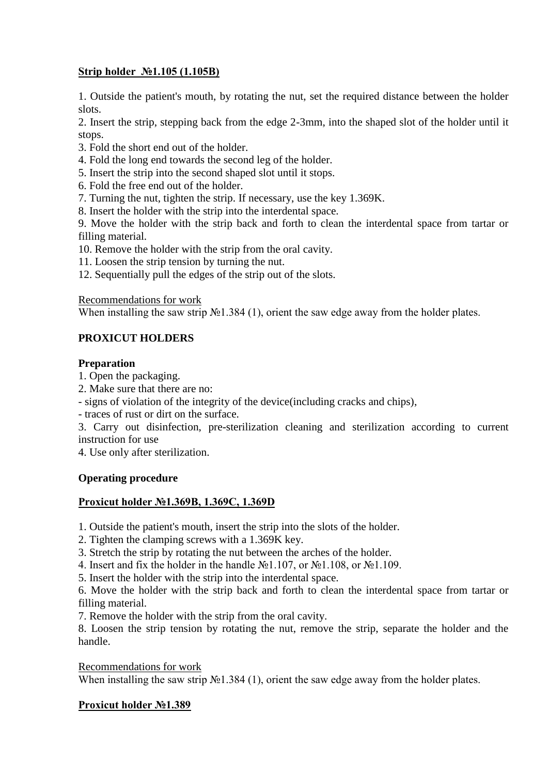# **Strip holder №1.105 (1.105B)**

1. Outside the patient's mouth, by rotating the nut, set the required distance between the holder slots.

2. Insert the strip, stepping back from the edge 2-3mm, into the shaped slot of the holder until it stops.

- 3. Fold the short end out of the holder.
- 4. Fold the long end towards the second leg of the holder.
- 5. Insert the strip into the second shaped slot until it stops.
- 6. Fold the free end out of the holder.
- 7. Turning the nut, tighten the strip. If necessary, use the key 1.369K.
- 8. Insert the holder with the strip into the interdental space.

9. Move the holder with the strip back and forth to clean the interdental space from tartar or filling material.

10. Remove the holder with the strip from the oral cavity.

11. Loosen the strip tension by turning the nut.

12. Sequentially pull the edges of the strip out of the slots.

Recommendations for work

When installing the saw strip №1.384 (1), orient the saw edge away from the holder plates.

# **PROXICUT HOLDERS**

#### **Preparation**

1. Open the packaging.

- 2. Make sure that there are no:
- signs of violation of the integrity of the device(including cracks and chips),
- traces of rust or dirt on the surface.

3. Carry out disinfection, pre-sterilization cleaning and sterilization according to current instruction for use

4. Use only after sterilization.

# **Operating procedure**

# **Proxicut holder №1.369B, 1.369C, 1.369D**

1. Outside the patient's mouth, insert the strip into the slots of the holder.

2. Tighten the clamping screws with a 1.369K key.

3. Stretch the strip by rotating the nut between the arches of the holder.

4. Insert and fix the holder in the handle  $N<sub>2</sub>1.107$ , or  $N<sub>2</sub>1.108$ , or  $N<sub>2</sub>1.109$ .

5. Insert the holder with the strip into the interdental space.

6. Move the holder with the strip back and forth to clean the interdental space from tartar or filling material.

7. Remove the holder with the strip from the oral cavity.

8. Loosen the strip tension by rotating the nut, remove the strip, separate the holder and the handle.

Recommendations for work

When installing the saw strip №1.384 (1), orient the saw edge away from the holder plates.

#### **Proxicut holder №1.389**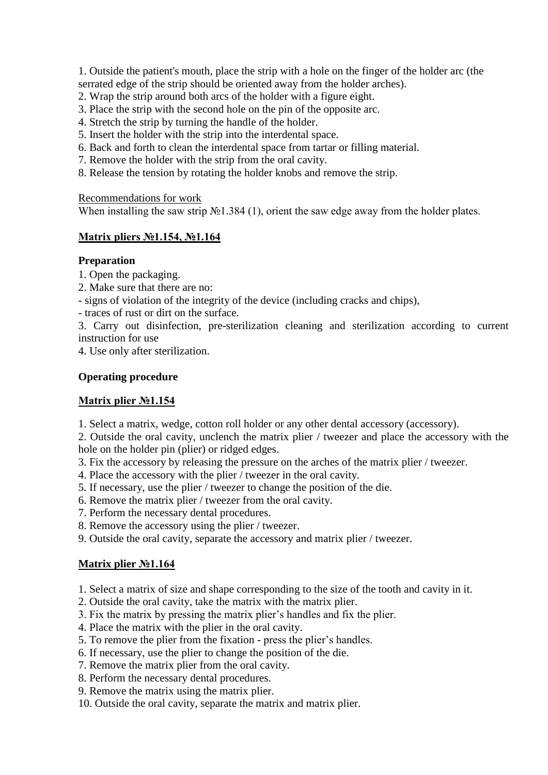1. Outside the patient's mouth, place the strip with a hole on the finger of the holder arc (the serrated edge of the strip should be oriented away from the holder arches).

- 2. Wrap the strip around both arcs of the holder with a figure eight.
- 3. Place the strip with the second hole on the pin of the opposite arc.
- 4. Stretch the strip by turning the handle of the holder.
- 5. Insert the holder with the strip into the interdental space.
- 6. Back and forth to clean the interdental space from tartar or filling material.
- 7. Remove the holder with the strip from the oral cavity.
- 8. Release the tension by rotating the holder knobs and remove the strip.

Recommendations for work

When installing the saw strip №1.384 (1), orient the saw edge away from the holder plates.

# **Matrix pliers №1.154, №1.164**

#### **Preparation**

- 1. Open the packaging.
- 2. Make sure that there are no:
- signs of violation of the integrity of the device (including cracks and chips),
- traces of rust or dirt on the surface.

3. Carry out disinfection, pre-sterilization cleaning and sterilization according to current instruction for use

4. Use only after sterilization.

#### **Operating procedure**

# **Matrix plier №1.154**

1. Select a matrix, wedge, cotton roll holder or any other dental accessory (accessory).

2. Outside the oral cavity, unclench the matrix plier / tweezer and place the accessory with the hole on the holder pin (plier) or ridged edges.

- 3. Fix the accessory by releasing the pressure on the arches of the matrix plier / tweezer.
- 4. Place the accessory with the plier / tweezer in the oral cavity.
- 5. If necessary, use the plier / tweezer to change the position of the die.
- 6. Remove the matrix plier / tweezer from the oral cavity.
- 7. Perform the necessary dental procedures.
- 8. Remove the accessory using the plier / tweezer.
- 9. Outside the oral cavity, separate the accessory and matrix plier / tweezer.

# **Matrix plier №1.164**

- 1. Select a matrix of size and shape corresponding to the size of the tooth and cavity in it.
- 2. Outside the oral cavity, take the matrix with the matrix plier.
- 3. Fix the matrix by pressing the matrix plier's handles and fix the plier.
- 4. Place the matrix with the plier in the oral cavity.
- 5. To remove the plier from the fixation press the plier's handles.
- 6. If necessary, use the plier to change the position of the die.
- 7. Remove the matrix plier from the oral cavity.
- 8. Perform the necessary dental procedures.
- 9. Remove the matrix using the matrix plier.
- 10. Outside the oral cavity, separate the matrix and matrix plier.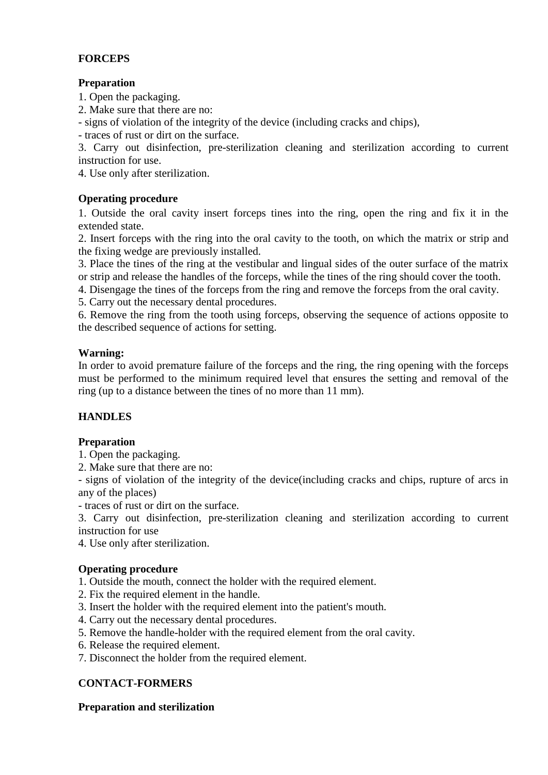# **FORCEPS**

# **Preparation**

1. Open the packaging.

2. Make sure that there are no:

- signs of violation of the integrity of the device (including cracks and chips),

- traces of rust or dirt on the surface.

3. Carry out disinfection, pre-sterilization cleaning and sterilization according to current instruction for use.

4. Use only after sterilization.

# **Operating procedure**

1. Outside the oral cavity insert forceps tines into the ring, open the ring and fix it in the extended state.

2. Insert forceps with the ring into the oral cavity to the tooth, on which the matrix or strip and the fixing wedge are previously installed.

3. Place the tines of the ring at the vestibular and lingual sides of the outer surface of the matrix or strip and release the handles of the forceps, while the tines of the ring should cover the tooth.

4. Disengage the tines of the forceps from the ring and remove the forceps from the oral cavity.

5. Carry out the necessary dental procedures.

6. Remove the ring from the tooth using forceps, observing the sequence of actions opposite to the described sequence of actions for setting.

#### **Warning:**

In order to avoid premature failure of the forceps and the ring, the ring opening with the forceps must be performed to the minimum required level that ensures the setting and removal of the ring (up to a distance between the tines of no more than 11 mm).

# **HANDLES**

# **Preparation**

1. Open the packaging.

2. Make sure that there are no:

- signs of violation of the integrity of the device(including cracks and chips, rupture of arcs in any of the places)

- traces of rust or dirt on the surface.

3. Carry out disinfection, pre-sterilization cleaning and sterilization according to current instruction for use

4. Use only after sterilization.

#### **Operating procedure**

1. Outside the mouth, connect the holder with the required element.

- 2. Fix the required element in the handle.
- 3. Insert the holder with the required element into the patient's mouth.
- 4. Carry out the necessary dental procedures.
- 5. Remove the handle-holder with the required element from the oral cavity.
- 6. Release the required element.
- 7. Disconnect the holder from the required element.

# **CONTACT-FORMERS**

#### **Preparation and sterilization**